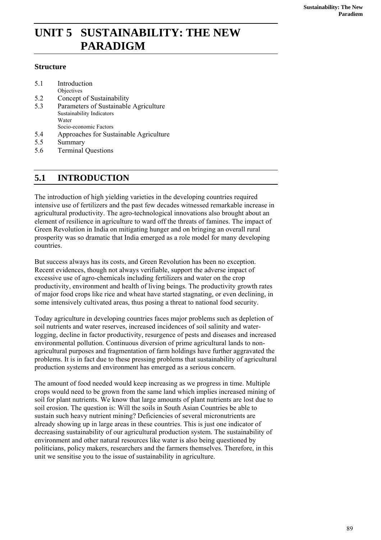# **UNIT 5 SUSTAINABILITY: THE NEW PARADIGM**

#### **Structure**

| 5.1 | Introduction                           |
|-----|----------------------------------------|
|     | Objectives                             |
| 5.2 | Concept of Sustainability              |
| 5.3 | Parameters of Sustainable Agriculture  |
|     | Sustainability Indicators              |
|     | Water                                  |
|     | Socio-economic Factors                 |
| 5.4 | Approaches for Sustainable Agriculture |
| 55  | Summary                                |

5.6 Terminal Questions

## **5.1 INTRODUCTION**

The introduction of high yielding varieties in the developing countries required intensive use of fertilizers and the past few decades witnessed remarkable increase in agricultural productivity. The agro-technological innovations also brought about an element of resilience in agriculture to ward off the threats of famines. The impact of Green Revolution in India on mitigating hunger and on bringing an overall rural prosperity was so dramatic that India emerged as a role model for many developing countries.

But success always has its costs, and Green Revolution has been no exception. Recent evidences, though not always verifiable, support the adverse impact of excessive use of agro-chemicals including fertilizers and water on the crop productivity, environment and health of living beings. The productivity growth rates of major food crops like rice and wheat have started stagnating, or even declining, in some intensively cultivated areas, thus posing a threat to national food security.

Today agriculture in developing countries faces major problems such as depletion of soil nutrients and water reserves, increased incidences of soil salinity and waterlogging, decline in factor productivity, resurgence of pests and diseases and increased environmental pollution. Continuous diversion of prime agricultural lands to nonagricultural purposes and fragmentation of farm holdings have further aggravated the problems. It is in fact due to these pressing problems that sustainability of agricultural production systems and environment has emerged as a serious concern.

The amount of food needed would keep increasing as we progress in time. Multiple crops would need to be grown from the same land which implies increased mining of soil for plant nutrients. We know that large amounts of plant nutrients are lost due to soil erosion. The question is: Will the soils in South Asian Countries be able to sustain such heavy nutrient mining? Deficiencies of several micronutrients are already showing up in large areas in these countries. This is just one indicator of decreasing sustainability of our agricultural production system. The sustainability of environment and other natural resources like water is also being questioned by politicians, policy makers, researchers and the farmers themselves. Therefore, in this unit we sensitise you to the issue of sustainability in agriculture.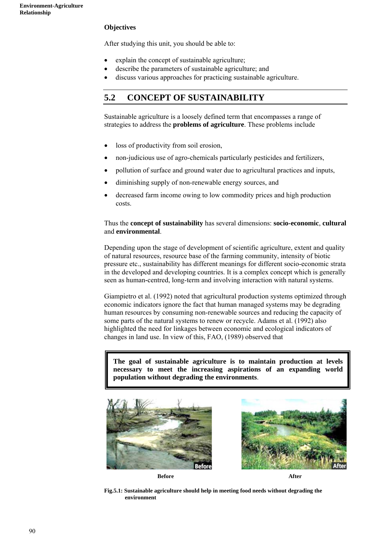#### **Objectives**

After studying this unit, you should be able to:

- explain the concept of sustainable agriculture;
- describe the parameters of sustainable agriculture; and
- discuss various approaches for practicing sustainable agriculture.

## **5.2 CONCEPT OF SUSTAINABILITY**

Sustainable agriculture is a loosely defined term that encompasses a range of strategies to address the **problems of agriculture**. These problems include

- loss of productivity from soil erosion,
- non-judicious use of agro-chemicals particularly pesticides and fertilizers,
- pollution of surface and ground water due to agricultural practices and inputs,
- diminishing supply of non-renewable energy sources, and
- decreased farm income owing to low commodity prices and high production costs.

#### Thus the **concept of sustainability** has several dimensions: **socio-economic**, **cultural**  and **environmental**.

Depending upon the stage of development of scientific agriculture, extent and quality of natural resources, resource base of the farming community, intensity of biotic pressure etc., sustainability has different meanings for different socio-economic strata in the developed and developing countries. It is a complex concept which is generally seen as human**-**centred, long-term and involving interaction with natural systems.

Giampietro et al. (1992) noted that agricultural production systems optimized through economic indicators ignore the fact that human managed systems may be degrading human resources by consuming non-renewable sources and reducing the capacity of some parts of the natural systems to renew or recycle. Adams et al. (1992) also highlighted the need for linkages between economic and ecological indicators of changes in land use. In view of this, FAO, (1989) observed that

**The goal of sustainable agriculture is to maintain production at levels necessary to meet the increasing aspirations of an expanding world population without degrading the environments**.





**Fig.5.1: Sustainable agriculture should help in meeting food needs without degrading the environment**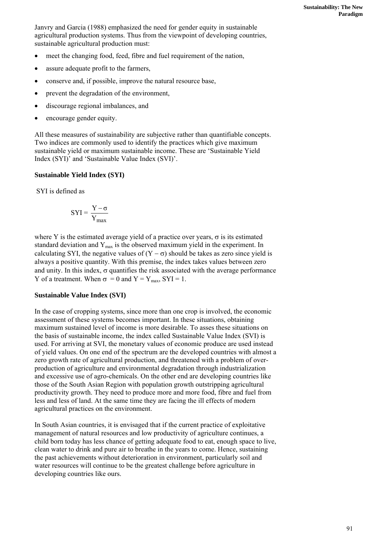Janvry and Garcia (1988) emphasized the need for gender equity in sustainable agricultural production systems. Thus from the viewpoint of developing countries, sustainable agricultural production must:

- meet the changing food, feed, fibre and fuel requirement of the nation,
- assure adequate profit to the farmers,
- conserve and, if possible, improve the natural resource base,
- prevent the degradation of the environment,
- discourage regional imbalances, and
- encourage gender equity.

All these measures of sustainability are subjective rather than quantifiable concepts. Two indices are commonly used to identify the practices which give maximum sustainable yield or maximum sustainable income. These are 'Sustainable Yield Index (SYI)' and 'Sustainable Value Index (SVI)'.

#### **Sustainable Yield Index (SYI)**

SYI is defined as

$$
SYI = \frac{Y - \sigma}{Y_{\text{max}}}
$$

where Y is the estimated average yield of a practice over years,  $\sigma$  is its estimated standard deviation and  $Y_{\text{max}}$  is the observed maximum yield in the experiment. In calculating SYI, the negative values of  $(Y - \sigma)$  should be takes as zero since yield is always a positive quantity. With this premise, the index takes values between zero and unity. In this index,  $\sigma$  quantifies the risk associated with the average performance Y of a treatment. When  $\sigma = 0$  and  $Y = Y_{\text{max}}$ ,  $SYI = 1$ .

#### **Sustainable Value Index (SVI)**

In the case of cropping systems, since more than one crop is involved, the economic assessment of these systems becomes important. In these situations, obtaining maximum sustained level of income is more desirable. To asses these situations on the basis of sustainable income, the index called Sustainable Value Index (SVI) is used. For arriving at SVI, the monetary values of economic produce are used instead of yield values. On one end of the spectrum are the developed countries with almost a zero growth rate of agricultural production, and threatened with a problem of overproduction of agriculture and environmental degradation through industrialization and excessive use of agro-chemicals. On the other end are developing countries like those of the South Asian Region with population growth outstripping agricultural productivity growth. They need to produce more and more food, fibre and fuel from less and less of land. At the same time they are facing the ill effects of modern agricultural practices on the environment.

In South Asian countries, it is envisaged that if the current practice of exploitative management of natural resources and low productivity of agriculture continues, a child born today has less chance of getting adequate food to eat, enough space to live, clean water to drink and pure air to breathe in the years to come. Hence, sustaining the past achievements without deterioration in environment, particularly soil and water resources will continue to be the greatest challenge before agriculture in developing countries like ours.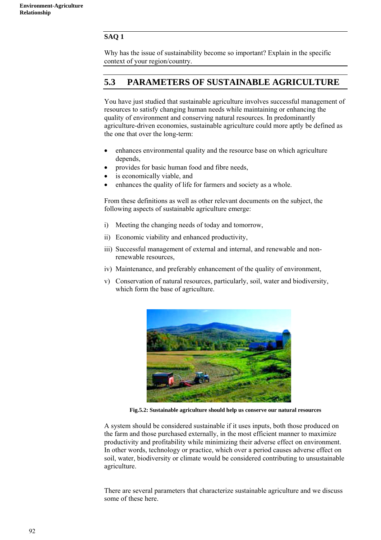#### **SAQ 1**

Why has the issue of sustainability become so important? Explain in the specific context of your region/country.

## **5.3 PARAMETERS OF SUSTAINABLE AGRICULTURE**

You have just studied that sustainable agriculture involves successful management of resources to satisfy changing human needs while maintaining or enhancing the quality of environment and conserving natural resources. In predominantly agriculture-driven economies, sustainable agriculture could more aptly be defined as the one that over the long-term:

- enhances environmental quality and the resource base on which agriculture depends,
- provides for basic human food and fibre needs,
- is economically viable, and
- enhances the quality of life for farmers and society as a whole.

From these definitions as well as other relevant documents on the subject, the following aspects of sustainable agriculture emerge:

- i) Meeting the changing needs of today and tomorrow,
- ii) Economic viability and enhanced productivity,
- iii) Successful management of external and internal, and renewable and nonrenewable resources,
- iv) Maintenance, and preferably enhancement of the quality of environment,
- v) Conservation of natural resources, particularly, soil, water and biodiversity, which form the base of agriculture.



**Fig.5.2: Sustainable agriculture should help us conserve our natural resources** 

A system should be considered sustainable if it uses inputs, both those produced on the farm and those purchased externally, in the most efficient manner to maximize productivity and profitability while minimizing their adverse effect on environment. In other words, technology or practice, which over a period causes adverse effect on soil, water, biodiversity or climate would be considered contributing to unsustainable agriculture.

There are several parameters that characterize sustainable agriculture and we discuss some of these here.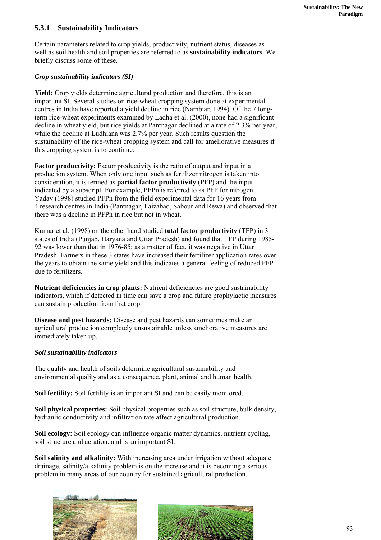#### **5.3.1 Sustainability Indicators**

Certain parameters related to crop yields, productivity, nutrient status, diseases as well as soil health and soil properties are referred to as **sustainability indicators**. We briefly discuss some of these.

#### *Crop sustainability indicators (SI)*

**Yield:** Crop yields determine agricultural production and therefore, this is an important SI. Several studies on rice-wheat cropping system done at experimental centres in India have reported a yield decline in rice (Nambiar, 1994). Of the 7 longterm rice-wheat experiments examined by Ladha et al. (2000), none had a significant decline in wheat yield, but rice yields at Pantnagar declined at a rate of 2.3% per year, while the decline at Ludhiana was 2.7% per year. Such results question the sustainability of the rice-wheat cropping system and call for ameliorative measures if this cropping system is to continue.

**Factor productivity:** Factor productivity is the ratio of output and input in a production system. When only one input such as fertilizer nitrogen is taken into consideration, it is termed as **partial factor productivity** (PFP) and the input indicated by a subscript. For example, PFPn is referred to as PFP for nitrogen. Yadav (1998) studied PFPn from the field experimental data for 16 years from 4 research centres in India (Pantnagar, Faizabad, Sabour and Rewa) and observed that there was a decline in PFPn in rice but not in wheat.

Kumar et al. (1998) on the other hand studied **total factor productivity** (TFP) in 3 states of India (Punjab, Haryana and Uttar Pradesh) and found that TFP during 1985- 92 was lower than that in 1976-85; as a matter of fact, it was negative in Uttar Pradesh. Farmers in these 3 states have increased their fertilizer application rates over the years to obtain the same yield and this indicates a general feeling of reduced PFP due to fertilizers.

**Nutrient deficiencies in crop plants:** Nutrient deficiencies are good sustainability indicators, which if detected in time can save a crop and future prophylactic measures can sustain production from that crop.

**Disease and pest hazards:** Disease and pest hazards can sometimes make an agricultural production completely unsustainable unless ameliorative measures are immediately taken up.

#### *Soil sustainability indicators*

The quality and health of soils determine agricultural sustainability and environmental quality and as a consequence, plant, animal and human health.

**Soil fertility:** Soil fertility is an important SI and can be easily monitored.

**Soil physical properties:** Soil physical properties such as soil structure, bulk density, hydraulic conductivity and infiltration rate affect agricultural production.

**Soil ecology:** Soil ecology can influence organic matter dynamics, nutrient cycling, soil structure and aeration, and is an important SI.

**Soil salinity and alkalinity:** With increasing area under irrigation without adequate drainage, salinity/alkalinity problem is on the increase and it is becoming a serious problem in many areas of our country for sustained agricultural production.



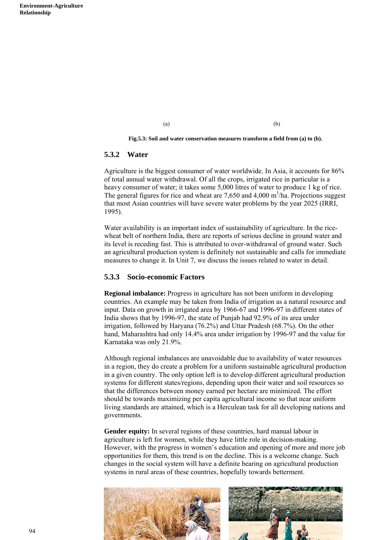$(a)$  (b)

**Fig.5.3: Soil and water conservation measures transform a field from (a) to (b).** 

#### **5.3.2 Water**

Agriculture is the biggest consumer of water worldwide. In Asia, it accounts for 86% of total annual water withdrawal. Of all the crops, irrigated rice in particular is a heavy consumer of water; it takes some 5,000 litres of water to produce 1 kg of rice. The general figures for rice and wheat are  $7,650$  and  $4,000$  m<sup>3</sup>/ha. Projections suggest that most Asian countries will have severe water problems by the year 2025 (IRRI, 1995).

Water availability is an important index of sustainability of agriculture. In the ricewheat belt of northern India, there are reports of serious decline in ground water and its level is receding fast. This is attributed to over-withdrawal of ground water. Such an agricultural production system is definitely not sustainable and calls for immediate measures to change it. In Unit 7, we discuss the issues related to water in detail.

#### **5.3.3 Socio-economic Factors**

**Regional imbalance:** Progress in agriculture has not been uniform in developing countries. An example may be taken from India of irrigation as a natural resource and input. Data on growth in irrigated area by 1966-67 and 1996-97 in different states of India shows that by 1996-97, the state of Punjab had 92.9% of its area under irrigation, followed by Haryana (76.2%) and Uttar Pradesh (68.7%). On the other hand, Maharashtra had only 14.4% area under irrigation by 1996-97 and the value for Karnataka was only 21.9%.

Although regional imbalances are unavoidable due to availability of water resources in a region, they do create a problem for a uniform sustainable agricultural production in a given country. The only option left is to develop different agricultural production systems for different states/regions, depending upon their water and soil resources so that the differences between money earned per hectare are minimized. The effort should be towards maximizing per capita agricultural income so that near uniform living standards are attained, which is a Herculean task for all developing nations and governments.

**Gender equity:** In several regions of these countries, hard manual labour in agriculture is left for women, while they have little role in decision-making. However, with the progress in women's education and opening of more and more job opportunities for them, this trend is on the decline. This is a welcome change. Such changes in the social system will have a definite bearing on agricultural production systems in rural areas of these countries, hopefully towards betterment.

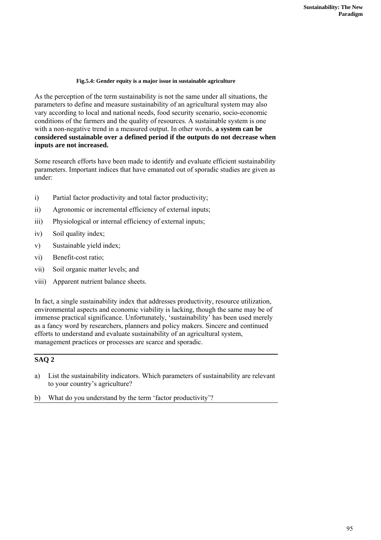#### **Fig.5.4: Gender equity is a major issue in sustainable agriculture**

As the perception of the term sustainability is not the same under all situations, the parameters to define and measure sustainability of an agricultural system may also vary according to local and national needs, food security scenario, socio-economic conditions of the farmers and the quality of resources. A sustainable system is one with a non-negative trend in a measured output. In other words, **a system can be considered sustainable over a defined period if the outputs do not decrease when inputs are not increased.** 

Some research efforts have been made to identify and evaluate efficient sustainability parameters. Important indices that have emanated out of sporadic studies are given as under:

- i) Partial factor productivity and total factor productivity;
- ii) Agronomic or incremental efficiency of external inputs;
- iii) Physiological or internal efficiency of external inputs;
- iv) Soil quality index;
- v) Sustainable yield index;
- vi) Benefit-cost ratio;
- vii) Soil organic matter levels; and
- viii) Apparent nutrient balance sheets.

In fact, a single sustainability index that addresses productivity, resource utilization, environmental aspects and economic viability is lacking, though the same may be of immense practical significance. Unfortunately, 'sustainability' has been used merely as a fancy word by researchers, planners and policy makers. Sincere and continued efforts to understand and evaluate sustainability of an agricultural system, management practices or processes are scarce and sporadic.

#### **SAQ 2**

a) List the sustainability indicators. Which parameters of sustainability are relevant to your country's agriculture?

b) What do you understand by the term 'factor productivity'?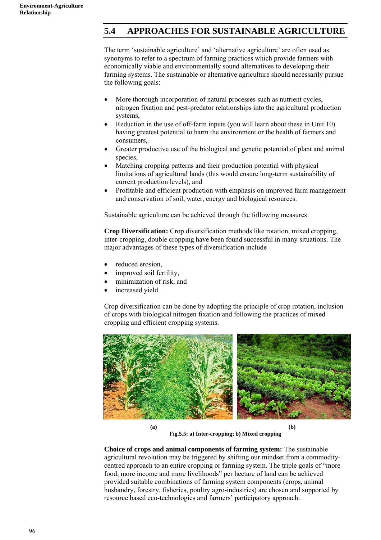## **5.4 APPROACHES FOR SUSTAINABLE AGRICULTURE**

The term 'sustainable agriculture' and 'alternative agriculture' are often used as synonyms to refer to a spectrum of farming practices which provide farmers with economically viable and environmentally sound alternatives to developing their farming systems. The sustainable or alternative agriculture should necessarily pursue the following goals:

- More thorough incorporation of natural processes such as nutrient cycles, nitrogen fixation and pest-predator relationships into the agricultural production systems,
- Reduction in the use of off-farm inputs (you will learn about these in Unit 10) having greatest potential to harm the environment or the health of farmers and consumers,
- Greater productive use of the biological and genetic potential of plant and animal species,
- Matching cropping patterns and their production potential with physical limitations of agricultural lands (this would ensure long-term sustainability of current production levels), and
- Profitable and efficient production with emphasis on improved farm management and conservation of soil, water, energy and biological resources.

Sustainable agriculture can be achieved through the following measures:

**Crop Diversification:** Crop diversification methods like rotation, mixed cropping, inter-cropping, double cropping have been found successful in many situations. The major advantages of these types of diversification include

- reduced erosion,
- improved soil fertility,
- minimization of risk, and
- increased vield.

Crop diversification can be done by adopting the principle of crop rotation, inclusion of crops with biological nitrogen fixation and following the practices of mixed cropping and efficient cropping systems.



**Fig.5.5: a) Inter-cropping; b) Mixed cropping** 

**Choice of crops and animal components of farming system:** The sustainable agricultural revolution may be triggered by shifting our mindset from a commoditycentred approach to an entire cropping or farming system. The triple goals of "more food, more income and more livelihoods" per hectare of land can be achieved provided suitable combinations of farming system components (crops, animal husbandry, forestry, fisheries, poultry agro-industries) are chosen and supported by resource based eco-technologies and farmers' participatory approach.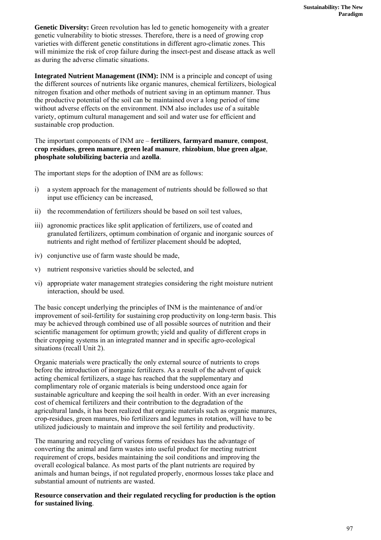**Genetic Diversity:** Green revolution has led to genetic homogeneity with a greater genetic vulnerability to biotic stresses. Therefore, there is a need of growing crop varieties with different genetic constitutions in different agro-climatic zones. This will minimize the risk of crop failure during the insect-pest and disease attack as well as during the adverse climatic situations.

**Integrated Nutrient Management (INM):** INM is a principle and concept of using the different sources of nutrients like organic manures, chemical fertilizers, biological nitrogen fixation and other methods of nutrient saving in an optimum manner. Thus the productive potential of the soil can be maintained over a long period of time without adverse effects on the environment. INM also includes use of a suitable variety, optimum cultural management and soil and water use for efficient and sustainable crop production.

The important components of INM are – **fertilizers**, **farmyard manure**, **compost**, **crop residues**, **green manure**, **green leaf manure**, **rhizobium**, **blue green algae**, **phosphate solubilizing bacteria** and **azolla**.

The important steps for the adoption of INM are as follows:

- i) a system approach for the management of nutrients should be followed so that input use efficiency can be increased,
- ii) the recommendation of fertilizers should be based on soil test values,
- iii) agronomic practices like split application of fertilizers, use of coated and granulated fertilizers, optimum combination of organic and inorganic sources of nutrients and right method of fertilizer placement should be adopted,
- iv) conjunctive use of farm waste should be made,
- v) nutrient responsive varieties should be selected, and
- vi) appropriate water management strategies considering the right moisture nutrient interaction, should be used.

The basic concept underlying the principles of INM is the maintenance of and/or improvement of soil-fertility for sustaining crop productivity on long-term basis. This may be achieved through combined use of all possible sources of nutrition and their scientific management for optimum growth; yield and quality of different crops in their cropping systems in an integrated manner and in specific agro-ecological situations (recall Unit 2).

Organic materials were practically the only external source of nutrients to crops before the introduction of inorganic fertilizers. As a result of the advent of quick acting chemical fertilizers, a stage has reached that the supplementary and complimentary role of organic materials is being understood once again for sustainable agriculture and keeping the soil health in order. With an ever increasing cost of chemical fertilizers and their contribution to the degradation of the agricultural lands, it has been realized that organic materials such as organic manures, crop-residues, green manures, bio fertilizers and legumes in rotation, will have to be utilized judiciously to maintain and improve the soil fertility and productivity.

The manuring and recycling of various forms of residues has the advantage of converting the animal and farm wastes into useful product for meeting nutrient requirement of crops, besides maintaining the soil conditions and improving the overall ecological balance. As most parts of the plant nutrients are required by animals and human beings, if not regulated properly, enormous losses take place and substantial amount of nutrients are wasted.

**Resource conservation and their regulated recycling for production is the option for sustained living**.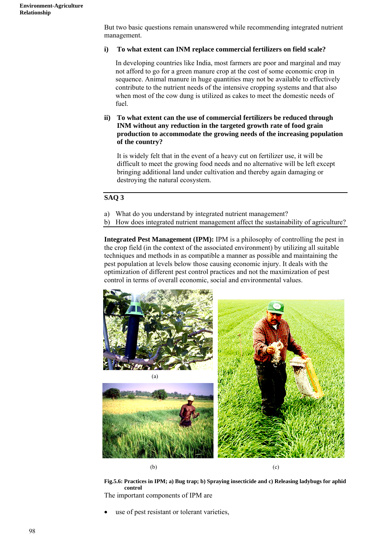But two basic questions remain unanswered while recommending integrated nutrient management.

#### **i) To what extent can INM replace commercial fertilizers on field scale?**

In developing countries like India, most farmers are poor and marginal and may not afford to go for a green manure crop at the cost of some economic crop in sequence. Animal manure in huge quantities may not be available to effectively contribute to the nutrient needs of the intensive cropping systems and that also when most of the cow dung is utilized as cakes to meet the domestic needs of fuel.

**ii) To what extent can the use of commercial fertilizers be reduced through INM without any reduction in the targeted growth rate of food grain production to accommodate the growing needs of the increasing population of the country?**

It is widely felt that in the event of a heavy cut on fertilizer use, it will be difficult to meet the growing food needs and no alternative will be left except bringing additional land under cultivation and thereby again damaging or destroying the natural ecosystem.

#### **SAQ 3**

- a) What do you understand by integrated nutrient management?
- b) How does integrated nutrient management affect the sustainability of agriculture?

**Integrated Pest Management (IPM):** IPM is a philosophy of controlling the pest in the crop field (in the context of the associated environment) by utilizing all suitable techniques and methods in as compatible a manner as possible and maintaining the pest population at levels below those causing economic injury. It deals with the optimization of different pest control practices and not the maximization of pest control in terms of overall economic, social and environmental values.



**Fig.5.6: Practices in IPM; a) Bug trap; b) Spraying insecticide and c) Releasing ladybugs for aphid control** 

The important components of IPM are

use of pest resistant or tolerant varieties,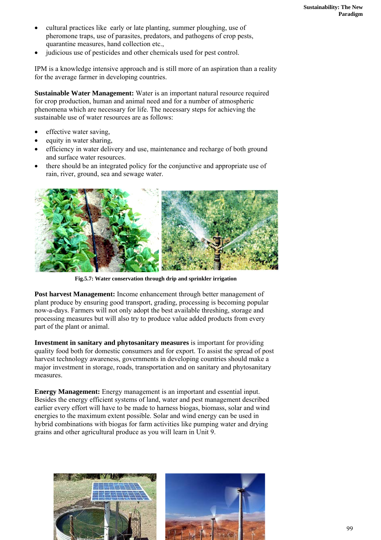- cultural practices like early or late planting, summer ploughing, use of pheromone traps, use of parasites, predators, and pathogens of crop pests, quarantine measures, hand collection etc.,
- judicious use of pesticides and other chemicals used for pest control.

IPM is a knowledge intensive approach and is still more of an aspiration than a reality for the average farmer in developing countries.

**Sustainable Water Management:** Water is an important natural resource required for crop production, human and animal need and for a number of atmospheric phenomena which are necessary for life. The necessary steps for achieving the sustainable use of water resources are as follows:

- effective water saving.
- equity in water sharing,
- efficiency in water delivery and use, maintenance and recharge of both ground and surface water resources.
- there should be an integrated policy for the conjunctive and appropriate use of rain, river, ground, sea and sewage water.



**Fig.5.7: Water conservation through drip and sprinkler irrigation** 

Post harvest Management: Income enhancement through better management of plant produce by ensuring good transport, grading, processing is becoming popular now-a-days. Farmers will not only adopt the best available threshing, storage and processing measures but will also try to produce value added products from every part of the plant or animal.

**Investment in sanitary and phytosanitary measures** is important for providing quality food both for domestic consumers and for export. To assist the spread of post harvest technology awareness, governments in developing countries should make a major investment in storage, roads, transportation and on sanitary and phytosanitary measures.

**Energy Management:** Energy management is an important and essential input. Besides the energy efficient systems of land, water and pest management described earlier every effort will have to be made to harness biogas, biomass, solar and wind energies to the maximum extent possible. Solar and wind energy can be used in hybrid combinations with biogas for farm activities like pumping water and drying grains and other agricultural produce as you will learn in Unit 9.

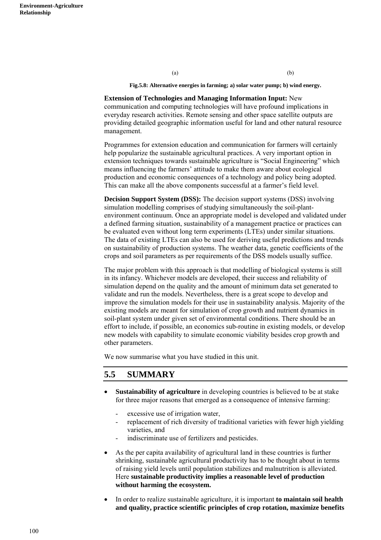**Fig.5.8: Alternative energies in farming; a) solar water pump; b) wind energy.** 

(a) (b)

**Extension of Technologies and Managing Information Input:** New communication and computing technologies will have profound implications in everyday research activities. Remote sensing and other space satellite outputs are providing detailed geographic information useful for land and other natural resource management.

Programmes for extension education and communication for farmers will certainly help popularize the sustainable agricultural practices. A very important option in extension techniques towards sustainable agriculture is "Social Engineering" which means influencing the farmers' attitude to make them aware about ecological production and economic consequences of a technology and policy being adopted. This can make all the above components successful at a farmer's field level.

**Decision Support System (DSS):** The decision support systems (DSS) involving simulation modelling comprises of studying simultaneously the soil-plantenvironment continuum. Once an appropriate model is developed and validated under a defined farming situation, sustainability of a management practice or practices can be evaluated even without long term experiments (LTEs) under similar situations. The data of existing LTEs can also be used for deriving useful predictions and trends on sustainability of production systems. The weather data, genetic coefficients of the crops and soil parameters as per requirements of the DSS models usually suffice.

The major problem with this approach is that modelling of biological systems is still in its infancy. Whichever models are developed, their success and reliability of simulation depend on the quality and the amount of minimum data set generated to validate and run the models. Nevertheless, there is a great scope to develop and improve the simulation models for their use in sustainability analysis. Majority of the existing models are meant for simulation of crop growth and nutrient dynamics in soil-plant system under given set of environmental conditions. There should be an effort to include, if possible, an economics sub-routine in existing models, or develop new models with capability to simulate economic viability besides crop growth and other parameters.

We now summarise what you have studied in this unit.

### **5.5 SUMMARY**

- **Sustainability of agriculture** in developing countries is believed to be at stake for three major reasons that emerged as a consequence of intensive farming:
	- excessive use of irrigation water.
	- replacement of rich diversity of traditional varieties with fewer high yielding varieties, and
	- indiscriminate use of fertilizers and pesticides.
- As the per capita availability of agricultural land in these countries is further shrinking, sustainable agricultural productivity has to be thought about in terms of raising yield levels until population stabilizes and malnutrition is alleviated. Here **sustainable productivity implies a reasonable level of production without harming the ecosystem.**
- In order to realize sustainable agriculture, it is important **to maintain soil health and quality, practice scientific principles of crop rotation, maximize benefits**